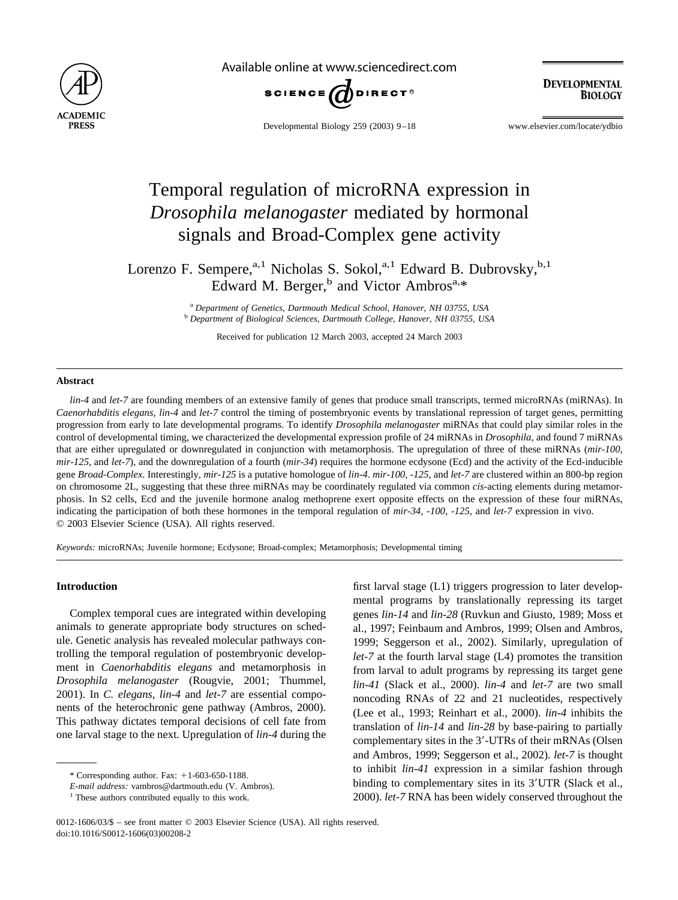

Available online at www.sciencedirect.com



**DEVELOPMENTAL BIOLOGY** 

Developmental Biology 259 (2003) 9–18 www.elsevier.com/locate/ydbio

# Temporal regulation of microRNA expression in *Drosophila melanogaster* mediated by hormonal signals and Broad-Complex gene activity

Lorenzo F. Sempere,<sup>a,1</sup> Nicholas S. Sokol,<sup>a,1</sup> Edward B. Dubrovsky,<sup>b,1</sup> Edward M. Berger,<sup>b</sup> and Victor Ambros<sup>a,\*</sup>

> <sup>a</sup> *Department of Genetics, Dartmouth Medical School, Hanover, NH 03755, USA* <sup>b</sup> *Department of Biological Sciences, Dartmouth College, Hanover, NH 03755, USA*

Received for publication 12 March 2003, accepted 24 March 2003

#### **Abstract**

*lin-4* and *let-7* are founding members of an extensive family of genes that produce small transcripts, termed microRNAs (miRNAs). In *Caenorhabditis elegans, lin-4* and *let-7* control the timing of postembryonic events by translational repression of target genes, permitting progression from early to late developmental programs. To identify *Drosophila melanogaster* miRNAs that could play similar roles in the control of developmental timing, we characterized the developmental expression profile of 24 miRNAs in *Drosophila,* and found 7 miRNAs that are either upregulated or downregulated in conjunction with metamorphosis. The upregulation of three of these miRNAs (*mir-100, mir-125,* and *let-7*), and the downregulation of a fourth (*mir-34*) requires the hormone ecdysone (Ecd) and the activity of the Ecd-inducible gene *Broad-Complex.* Interestingly, *mir-125* is a putative homologue of *lin-4*. *mir-100, -125,* and *let-7* are clustered within an 800-bp region on chromosome 2L, suggesting that these three miRNAs may be coordinately regulated via common *cis*-acting elements during metamorphosis. In S2 cells, Ecd and the juvenile hormone analog methoprene exert opposite effects on the expression of these four miRNAs, indicating the participation of both these hormones in the temporal regulation of *mir-34, -100, -125,* and *let-7* expression in vivo. © 2003 Elsevier Science (USA). All rights reserved.

*Keywords:* microRNAs; Juvenile hormone; Ecdysone; Broad-complex; Metamorphosis; Developmental timing

#### **Introduction**

Complex temporal cues are integrated within developing animals to generate appropriate body structures on schedule. Genetic analysis has revealed molecular pathways controlling the temporal regulation of postembryonic development in *Caenorhabditis elegans* and metamorphosis in *Drosophila melanogaster* [\(Rougvie, 2001; Thummel,](#page-9-0) [2001\)](#page-9-0). In *C. elegans, lin-4* and *let-7* are essential components of the heterochronic gene pathway [\(Ambros, 2000\).](#page-8-0) This pathway dictates temporal decisions of cell fate from one larval stage to the next. Upregulation of *lin-4* during the

first larval stage (L1) triggers progression to later developmental programs by translationally repressing its target genes *lin-14* and *lin-28* [\(Ruvkun and Giusto, 1989; Moss et](#page-9-0) [al., 1997; Feinbaum and Ambros, 1999; Olsen and Ambros,](#page-9-0) [1999; Seggerson et al., 2002\)](#page-9-0). Similarly, upregulation of *let-7* at the fourth larval stage (L4) promotes the transition from larval to adult programs by repressing its target gene *lin-41* [\(Slack et al., 2000\)](#page-9-0). *lin-4* and *let-7* are two small noncoding RNAs of 22 and 21 nucleotides, respectively [\(Lee et al., 1993; Reinhart et al., 2000\).](#page-8-0) *lin-4* inhibits the translation of *lin-14* and *lin-28* by base-pairing to partially complementary sites in the 3'-UTRs of their mRNAs [\(Olsen](#page-9-0) [and Ambros, 1999; Seggerson et al., 2002\).](#page-9-0) *let-7* is thought to inhibit *lin-41* expression in a similar fashion through binding to complementary sites in its 3'UTR [\(Slack et al.,](#page-9-0) [2000\)](#page-9-0). *let-7* RNA has been widely conserved throughout the

 $*$  Corresponding author. Fax:  $+1$ -603-650-1188.

*E-mail address:* vambros@dartmouth.edu (V. Ambros).

<sup>&</sup>lt;sup>1</sup> These authors contributed equally to this work.

<sup>0012-1606/03/\$ –</sup> see front matter © 2003 Elsevier Science (USA). All rights reserved. doi:10.1016/S0012-1606(03)00208-2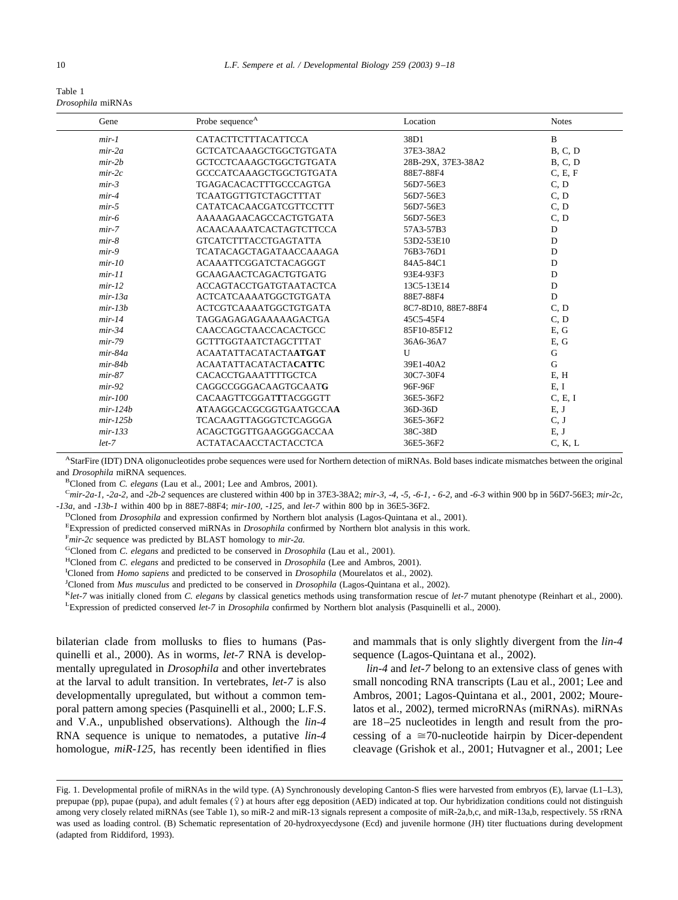<span id="page-1-0"></span>

| Table 1           |
|-------------------|
| Drosophila miRNAs |

| Gene       | Probe sequence <sup>A</sup>    | Location            | <b>Notes</b>   |
|------------|--------------------------------|---------------------|----------------|
| $mir-1$    | CATACTTCTTTACATTCCA            | 38D1                | B              |
| $mir-2a$   | GCTCATCAAAGCTGGCTGTGATA        | 37E3-38A2           | B, C, D        |
| $mir-2b$   | <b>GCTCCTCAAAGCTGGCTGTGATA</b> | 28B-29X, 37E3-38A2  | <b>B. C. D</b> |
| $mir-2c$   | GCCCATCAAAGCTGGCTGTGATA        | 88E7-88F4           | C, E, F        |
| $mir-3$    | <b>TGAGACACACTTTGCCCAGTGA</b>  | 56D7-56E3           | C.D            |
| $mir-4$    | <b>TCAATGGTTGTCTAGCTTTAT</b>   | 56D7-56E3           | C, D           |
| $mir-5$    | CATATCACAACGATCGTTCCTTT        | 56D7-56E3           | C, D           |
| $mir-6$    | AAAAAGAACAGCCACTGTGATA         | 56D7-56E3           | C, D           |
| $mir-7$    | <b>ACAACAAAATCACTAGTCTTCCA</b> | 57A3-57B3           | $\mathbf D$    |
| $mir-8$    | <b>GTCATCTTTACCTGAGTATTA</b>   | 53D2-53E10          | D              |
| $mir-9$    | <b>TCATACAGCTAGATAACCAAAGA</b> | 76B3-76D1           | D              |
| $mir-10$   | <b>ACAAATTCGGATCTACAGGGT</b>   | 84A5-84C1           | D              |
| $mir-11$   | <b>GCAAGAACTCAGACTGTGATG</b>   | 93E4-93F3           | D              |
| $mir-12$   | <b>ACCAGTACCTGATGTAATACTCA</b> | 13C5-13E14          | D              |
| $mir-13a$  | <b>ACTCATCAAAATGGCTGTGATA</b>  | 88E7-88F4           | D              |
| $mir-13b$  | <b>ACTCGTCAAAATGGCTGTGATA</b>  | 8C7-8D10, 88E7-88F4 | C, D           |
| $mir-14$   | TAGGAGAGAGAAAAAGACTGA          | 45C5-45F4           | C, D           |
| $mir-34$   | CAACCAGCTAACCACACTGCC          | 85F10-85F12         | E, G           |
| $mir-79$   | <b>GCTTTGGTAATCTAGCTTTAT</b>   | 36A6-36A7           | E, G           |
| $mir-84a$  | <b>ACAATATTACATACTAATGAT</b>   | $\mathbf{U}$        | G              |
| $mir-84b$  | <b>ACAATATTACATACTACATTC</b>   | 39E1-40A2           | $\mathbf G$    |
| $mir-87$   | CACACCTGAAATTTTGCTCA           | 30C7-30F4           | E, H           |
| $mir-92$   | <b>CAGGCCGGGACAAGTGCAATG</b>   | 96F-96F             | E, I           |
| $mir-100$  | CACAAGTTCGGATTTACGGGTT         | 36E5-36F2           | C, E, I        |
| $mir-124b$ | <b>ATAAGGCACGCGGTGAATGCCAA</b> | 36D-36D             | E, J           |
| $mir-125b$ | <b>TCACAAGTTAGGGTCTCAGGGA</b>  | 36E5-36F2           | C, J           |
| $mir-133$  | <b>ACAGCTGGTTGAAGGGGACCAA</b>  | 38C-38D             | E, J           |
| $let-7$    | <b>ACTATACAACCTACTACCTCA</b>   | 36E5-36F2           | C, K, L        |

AStarFire (IDT) DNA oligonucleotides probe sequences were used for Northern detection of miRNAs. Bold bases indicate mismatches between the original and *Drosophila* miRNA sequences.

BCloned from *C. elegans* ([Lau et al., 2001; Lee and Ambros, 2001](#page-8-0)).

<sup>C</sup>*mir-2a-1, -2a-2,* and *-2b-2* sequences are clustered within 400 bp in 37E3-38A2; *mir-3, -4, -5, -6-1, - 6-2,* and *-6-3* within 900 bp in 56D7-56E3; *mir-2c, -13a,* and *-13b-1* within 400 bp in 88E7-88F4; *mir-100, -125,* and *let-7* within 800 bp in 36E5-36F2.

<sup>D</sup>Cloned from *Drosophila* and expression confirmed by Northern blot analysis [\(Lagos-Quintana et al., 2001](#page-8-0)).

E Expression of predicted conserved miRNAs in *Drosophila* confirmed by Northern blot analysis in this work.

F *mir-2c* sequence was predicted by BLAST homology to *mir-2a.*

GCloned from *C. elegans* and predicted to be conserved in *Drosophila* [\(Lau et al., 2001](#page-8-0)).

HCloned from *C. elegans* and predicted to be conserved in *Drosophila* [\(Lee and Ambros, 2001](#page-8-0)).

<sup>I</sup>Cloned from *Homo sapiens* and predicted to be conserved in *Drosophila* [\(Mourelatos et al., 2002](#page-8-0)).

<sup>J</sup>Cloned from *Mus musculus* and predicted to be conserved in *Drosophila* ([Lagos-Quintana et al., 2002\)](#page-8-0).

<sup>K</sup>*let-7* was initially cloned from *C. elegans* by classical genetics methods using transformation rescue of *let-7* mutant phenotype ([Reinhart et al., 2000](#page-8-0)). L Expression of predicted conserved *let-7* in *Drosophila* confirmed by Northern blot analysis ([Pasquinelli et al., 2000\)](#page-8-0).

bilaterian clade from mollusks to flies to humans [\(Pas](#page-9-0)[quinelli et al., 2000\).](#page-9-0) As in worms, *let-7* RNA is developmentally upregulated in *Drosophila* and other invertebrates at the larval to adult transition. In vertebrates, *let-7* is also developmentally upregulated, but without a common temporal pattern among species [\(Pasquinelli et al., 2000](#page-9-0); L.F.S. and V.A., unpublished observations). Although the *lin-4* RNA sequence is unique to nematodes, a putative *lin-4* homologue, *miR-125,* has recently been identified in flies and mammals that is only slightly divergent from the *lin-4* sequence [\(Lagos-Quintana et al., 2002\).](#page-8-0)

*lin-4* and *let-7* belong to an extensive class of genes with small noncoding RNA transcripts [\(Lau et al., 2001; Lee and](#page-8-0) [Ambros, 2001; Lagos-Quintana et al., 2001, 2002; Moure](#page-8-0)[latos et al., 2002\)](#page-8-0), termed microRNAs (miRNAs). miRNAs are 18–25 nucleotides in length and result from the processing of a  $\approx$  70-nucleotide hairpin by Dicer-dependent cleavage (Grishok et al., 2001; Hutvagner et al., 2001; Lee

Fig. 1. Developmental profile of miRNAs in the wild type. (A) Synchronously developing Canton-S flies were harvested from embryos (E), larvae (L1–L3), prepupae (pp), pupae (pupa), and adult females  $(9)$  at hours after egg deposition (AED) indicated at top. Our hybridization conditions could not distinguish among very closely related miRNAs (see Table 1), so miR-2 and miR-13 signals represent a composite of miR-2a,b,c, and miR-13a,b, respectively. 5S rRNA was used as loading control. (B) Schematic representation of 20-hydroxyecdysone (Ecd) and juvenile hormone (JH) titer fluctuations during development (adapted from [Riddiford, 1993\)](#page-9-0).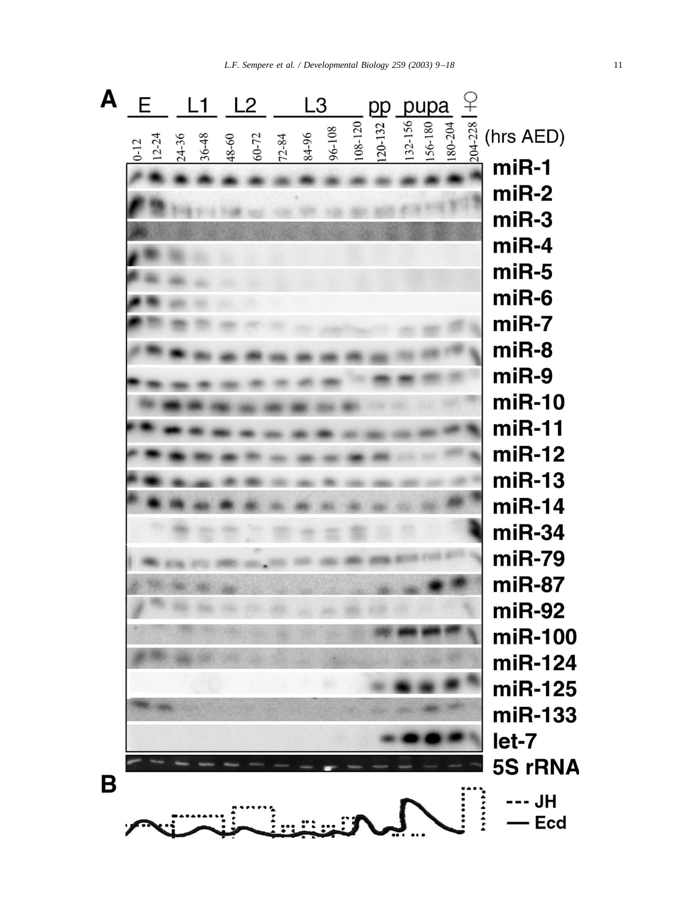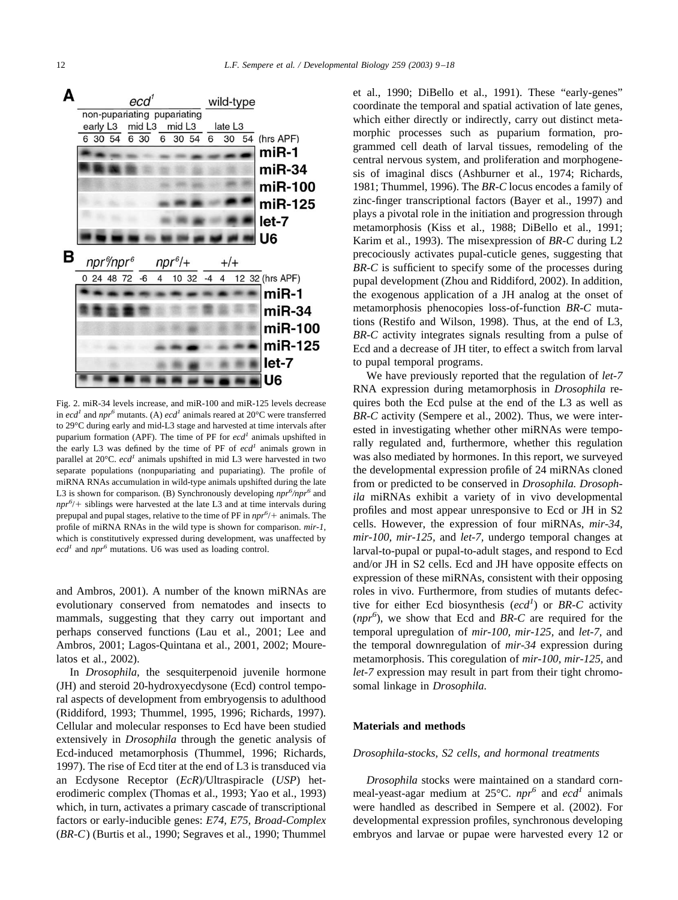<span id="page-3-0"></span>

Fig. 2. miR-34 levels increase, and miR-100 and miR-125 levels decrease in *ecd<sup>1</sup>* and *npr<sup>6</sup>* mutants. (A) *ecd<sup>1</sup>* animals reared at 20 $^{\circ}$ C were transferred to 29°C during early and mid-L3 stage and harvested at time intervals after puparium formation (APF). The time of PF for  $ecd<sup>1</sup>$  animals upshifted in the early L3 was defined by the time of PF of  $ecd<sup>1</sup>$  animals grown in parallel at 20°C. *ecd<sup>1</sup>* animals upshifted in mid L3 were harvested in two separate populations (nonpupariating and pupariating). The profile of miRNA RNAs accumulation in wild-type animals upshifted during the late L3 is shown for comparison. (B) Synchronously developing  $npr^6/npr^6$  and  $npr^{6}/+$  siblings were harvested at the late L3 and at time intervals during prepupal and pupal stages, relative to the time of PF in  $npr^{6}/+$  animals. The profile of miRNA RNAs in the wild type is shown for comparison. *mir-1*, which is constitutively expressed during development, was unaffected by  $ecd<sup>1</sup>$  and  $npr<sup>6</sup>$  mutations. U6 was used as loading control.

[and Ambros, 2001\).](#page-8-0) A number of the known miRNAs are evolutionary conserved from nematodes and insects to mammals, suggesting that they carry out important and perhaps conserved functions [\(Lau et al., 2001; Lee and](#page-8-0) [Ambros, 2001; Lagos-Quintana et al., 2001, 2002; Moure](#page-8-0)[latos et al., 2002\).](#page-8-0)

In *Drosophila,* the sesquiterpenoid juvenile hormone (JH) and steroid 20-hydroxyecdysone (Ecd) control temporal aspects of development from embryogensis to adulthood [\(Riddiford, 1993; Thummel, 1995, 1996; Richards, 1997\).](#page-9-0) Cellular and molecular responses to Ecd have been studied extensively in *Drosophila* through the genetic analysis of Ecd-induced metamorphosis [\(Thummel, 1996; Richards,](#page-9-0) [1997\)](#page-9-0). The rise of Ecd titer at the end of L3 is transduced via an Ecdysone Receptor (*EcR*)/Ultraspiracle (*USP*) heterodimeric complex [\(Thomas et al., 1993; Yao et al., 1993\)](#page-9-0) which, in turn, activates a primary cascade of transcriptional factors or early-inducible genes: *E74, E75, Broad-Complex* (*BR-C*) [\(Burtis et al., 1990; Segraves et al., 1990; Thummel](#page-8-0) [et al., 1990; DiBello et al., 1991\)](#page-8-0). These "early-genes" coordinate the temporal and spatial activation of late genes, which either directly or indirectly, carry out distinct metamorphic processes such as puparium formation, programmed cell death of larval tissues, remodeling of the central nervous system, and proliferation and morphogenesis of imaginal discs [\(Ashburner et al., 1974; Richards,](#page-8-0) [1981; Thummel, 1996\)](#page-8-0). The *BR-C* locus encodes a family of zinc-finger transcriptional factors [\(Bayer et al., 1997\)](#page-8-0) and plays a pivotal role in the initiation and progression through metamorphosis [\(Kiss et al., 1988; DiBello et al., 1991;](#page-8-0) [Karim et al., 1993\)](#page-8-0). The misexpression of *BR-C* during L2 precociously activates pupal-cuticle genes, suggesting that *BR-C* is sufficient to specify some of the processes during pupal development [\(Zhou and Riddiford, 2002\)](#page-9-0). In addition, the exogenous application of a JH analog at the onset of metamorphosis phenocopies loss-of-function *BR-C* mutations [\(Restifo and Wilson, 1998\)](#page-9-0). Thus, at the end of L3, *BR-C* activity integrates signals resulting from a pulse of Ecd and a decrease of JH titer, to effect a switch from larval to pupal temporal programs.

We have previously reported that the regulation of *let-7* RNA expression during metamorphosis in *Drosophila* requires both the Ecd pulse at the end of the L3 as well as *BR-C* activity [\(Sempere et al., 2002\).](#page-9-0) Thus, we were interested in investigating whether other miRNAs were temporally regulated and, furthermore, whether this regulation was also mediated by hormones. In this report, we surveyed the developmental expression profile of 24 miRNAs cloned from or predicted to be conserved in *Drosophila. Drosophila* miRNAs exhibit a variety of in vivo developmental profiles and most appear unresponsive to Ecd or JH in S2 cells. However, the expression of four miRNAs, *mir-34, mir-100, mir-125,* and *let-7,* undergo temporal changes at larval-to-pupal or pupal-to-adult stages, and respond to Ecd and/or JH in S2 cells. Ecd and JH have opposite effects on expression of these miRNAs, consistent with their opposing roles in vivo. Furthermore, from studies of mutants defective for either Ecd biosynthesis (ecd<sup>1</sup>) or *BR-C* activity (*npr6* ), we show that Ecd and *BR-C* are required for the temporal upregulation of *mir-100, mir-125,* and *let-7,* and the temporal downregulation of *mir-34* expression during metamorphosis. This coregulation of *mir-100, mir-125,* and *let-7* expression may result in part from their tight chromosomal linkage in *Drosophila.*

### **Materials and methods**

### *Drosophila-stocks, S2 cells, and hormonal treatments*

*Drosophila* stocks were maintained on a standard cornmeal-yeast-agar medium at 25°C.  $npr^6$  and  $ecd^1$  animals were handled as described in [Sempere et al. \(2002\)](#page-9-0). For developmental expression profiles, synchronous developing embryos and larvae or pupae were harvested every 12 or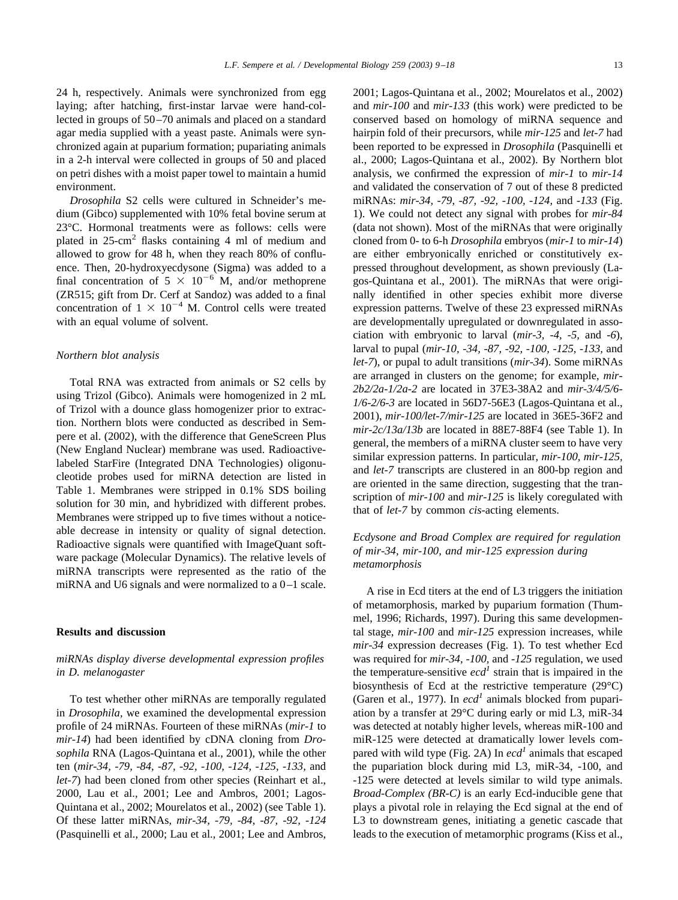24 h, respectively. Animals were synchronized from egg laying; after hatching, first-instar larvae were hand-collected in groups of 50–70 animals and placed on a standard agar media supplied with a yeast paste. Animals were synchronized again at puparium formation; pupariating animals in a 2-h interval were collected in groups of 50 and placed on petri dishes with a moist paper towel to maintain a humid environment.

*Drosophila* S2 cells were cultured in Schneider's medium (Gibco) supplemented with 10% fetal bovine serum at 23°C. Hormonal treatments were as follows: cells were plated in 25-cm2 flasks containing 4 ml of medium and allowed to grow for 48 h, when they reach 80% of confluence. Then, 20-hydroxyecdysone (Sigma) was added to a final concentration of  $5 \times 10^{-6}$  M, and/or methoprene (ZR515; gift from Dr. Cerf at Sandoz) was added to a final concentration of  $1 \times 10^{-4}$  M. Control cells were treated with an equal volume of solvent.

## *Northern blot analysis*

Total RNA was extracted from animals or S2 cells by using Trizol (Gibco). Animals were homogenized in 2 mL of Trizol with a dounce glass homogenizer prior to extraction. Northern blots were conducted as described in [Sem](#page-9-0)[pere et al. \(2002\),](#page-9-0) with the difference that GeneScreen Plus (New England Nuclear) membrane was used. Radioactivelabeled StarFire (Integrated DNA Technologies) oligonucleotide probes used for miRNA detection are listed in [Table 1](#page-1-0). Membranes were stripped in 0.1% SDS boiling solution for 30 min, and hybridized with different probes. Membranes were stripped up to five times without a noticeable decrease in intensity or quality of signal detection. Radioactive signals were quantified with ImageQuant software package (Molecular Dynamics). The relative levels of miRNA transcripts were represented as the ratio of the miRNA and U6 signals and were normalized to a 0–1 scale.

## **Results and discussion**

## *miRNAs display diverse developmental expression profiles in D. melanogaster*

To test whether other miRNAs are temporally regulated in *Drosophila,* we examined the developmental expression profile of 24 miRNAs. Fourteen of these miRNAs (*mir-1* to *mir-14*) had been identified by cDNA cloning from *Drosophila* RNA [\(Lagos-Quintana et al., 2001\),](#page-8-0) while the other ten (*mir-34, -79, -84, -87, -92, -100, -124, -125, -133,* and *let-7*) had been cloned from other species [\(Reinhart et al.,](#page-9-0) [2000, Lau et al., 2001; Lee and Ambros, 2001; Lagos-](#page-9-0)[Quintana et al., 2002; Mourelatos et al., 2002\)](#page-9-0) (see [Table 1](#page-1-0)). Of these latter miRNAs, *mir-34, -79, -84, -87, -92, -124* [\(Pasquinelli et al., 2000; Lau et al., 2001; Lee and Ambros,](#page-9-0)

[2001; Lagos-Quintana et al., 2002; Mourelatos et al., 2002\)](#page-9-0) and *mir-100* and *mir-133* (this work) were predicted to be conserved based on homology of miRNA sequence and hairpin fold of their precursors, while *mir-125* and *let-7* had been reported to be expressed in *Drosophila* [\(Pasquinelli et](#page-9-0) [al., 2000; Lagos-Quintana et al., 2002\)](#page-9-0). By Northern blot analysis, we confirmed the expression of *mir-1* to *mir-14* and validated the conservation of 7 out of these 8 predicted miRNAs: *mir-34, -79, -87, -92, -100, -124,* and *-133* [\(Fig.](#page-1-0) [1](#page-1-0)). We could not detect any signal with probes for *mir-84* (data not shown). Most of the miRNAs that were originally cloned from 0- to 6-h *Drosophila* embryos (*mir-1* to *mir-14*) are either embryonically enriched or constitutively expressed throughout development, as shown previously [\(La](#page-8-0)[gos-Quintana et al., 2001\)](#page-8-0). The miRNAs that were originally identified in other species exhibit more diverse expression patterns. Twelve of these 23 expressed miRNAs are developmentally upregulated or downregulated in association with embryonic to larval (*mir-3, -4, -5,* and *-6*), larval to pupal (*mir-10, -34, -87, -92, -100, -125, -133,* and *let-7*), or pupal to adult transitions (*mir-34*). Some miRNAs are arranged in clusters on the genome; for example, *mir-2b2/2a-1/2a-2* are located in 37E3-38A2 and *mir-3/4/5/6- 1/6-2/6-3* are located in 56D7-56E3 [\(Lagos-Quintana et al.,](#page-8-0) [2001\)](#page-8-0), *mir-100/let-7/mir-125* are located in 36E5-36F2 and *mir-2c/13a/13b* are located in 88E7-88F4 (see Table 1). In general, the members of a miRNA cluster seem to have very similar expression patterns. In particular, *mir-100, mir-125,* and *let-7* transcripts are clustered in an 800-bp region and are oriented in the same direction, suggesting that the transcription of *mir-100* and *mir-125* is likely coregulated with that of *let-7* by common *cis*-acting elements.

## *Ecdysone and Broad Complex are required for regulation of mir-34, mir-100, and mir-125 expression during metamorphosis*

A rise in Ecd titers at the end of L3 triggers the initiation of metamorphosis, marked by puparium formation [\(Thum](#page-9-0)[mel, 1996; Richards, 1997\).](#page-9-0) During this same developmental stage, *mir-100* and *mir-125* expression increases, while *mir-34* expression decreases ([Fig. 1](#page-1-0)). To test whether Ecd was required for *mir-34, -100,* and *-125* regulation, we used the temperature-sensitive  $ecd<sup>1</sup>$  strain that is impaired in the biosynthesis of Ecd at the restrictive temperature (29°C) [\(Garen et al., 1977\).](#page-8-0) In  $ecd<sup>1</sup>$  animals blocked from pupariation by a transfer at 29°C during early or mid L3, miR-34 was detected at notably higher levels, whereas miR-100 and miR-125 were detected at dramatically lower levels com-pared with wild type [\(Fig. 2A\)](#page-3-0) In  $ecd<sup>1</sup>$  animals that escaped the pupariation block during mid L3, miR-34, -100, and -125 were detected at levels similar to wild type animals. *Broad-Complex (BR-C)* is an early Ecd-inducible gene that plays a pivotal role in relaying the Ecd signal at the end of L3 to downstream genes, initiating a genetic cascade that leads to the execution of metamorphic programs (Kiss et al.,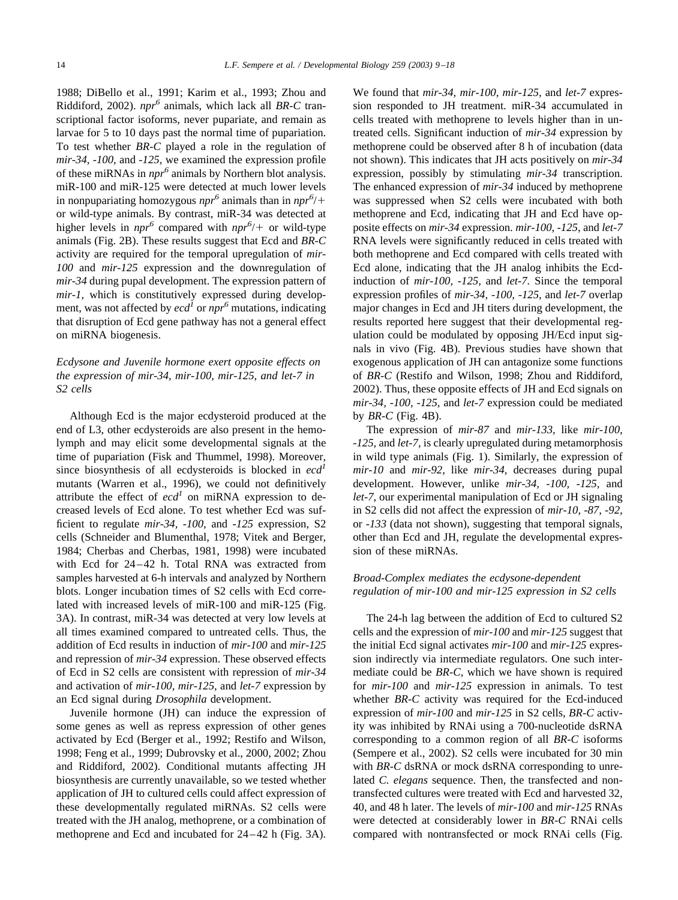1988; DiBello et al., 1991; Karim et al., 1993; Zhou and [Riddiford, 2002\).](#page-8-0) *npr6* animals, which lack all *BR-C* transcriptional factor isoforms, never pupariate, and remain as larvae for 5 to 10 days past the normal time of pupariation. To test whether *BR-C* played a role in the regulation of *mir-34, -100,* and *-125,* we examined the expression profile of these miRNAs in *npr<sup>6</sup>* animals by Northern blot analysis. miR-100 and miR-125 were detected at much lower levels in nonpupariating homozygous  $npr^6$  animals than in  $npr^6$ /+ or wild-type animals. By contrast, miR-34 was detected at higher levels in  $npr^6$  compared with  $npr^6$  + or wild-type animals [\(Fig. 2B\)](#page-3-0). These results suggest that Ecd and *BR-C* activity are required for the temporal upregulation of *mir-100* and *mir-125* expression and the downregulation of *mir-34* during pupal development. The expression pattern of *mir-1,* which is constitutively expressed during development, was not affected by  $ecd<sup>I</sup>$  or  $npr<sup>6</sup>$  mutations, indicating that disruption of Ecd gene pathway has not a general effect on miRNA biogenesis.

# *Ecdysone and Juvenile hormone exert opposite effects on the expression of mir-34, mir-100, mir-125, and let-7 in S2 cells*

Although Ecd is the major ecdysteroid produced at the end of L3, other ecdysteroids are also present in the hemolymph and may elicit some developmental signals at the time of pupariation [\(Fisk and Thummel, 1998\)](#page-8-0). Moreover, since biosynthesis of all ecdysteroids is blocked in *ecd1* mutants [\(Warren et al., 1996\),](#page-9-0) we could not definitively attribute the effect of  $ecd<sup>1</sup>$  on miRNA expression to decreased levels of Ecd alone. To test whether Ecd was sufficient to regulate *mir-34, -100,* and *-125* expression, S2 cells [\(Schneider and Blumenthal, 1978; Vitek and Berger,](#page-9-0) [1984; Cherbas and Cherbas, 1981, 1998\)](#page-9-0) were incubated with Ecd for 24–42 h. Total RNA was extracted from samples harvested at 6-h intervals and analyzed by Northern blots. Longer incubation times of S2 cells with Ecd correlated with increased levels of miR-100 and miR-125 [\(Fig.](#page-6-0) [3A](#page-6-0)). In contrast, miR-34 was detected at very low levels at all times examined compared to untreated cells. Thus, the addition of Ecd results in induction of *mir-100* and *mir-125* and repression of *mir-34* expression. These observed effects of Ecd in S2 cells are consistent with repression of *mir-34* and activation of *mir-100, mir-125,* and *let-7* expression by an Ecd signal during *Drosophila* development.

Juvenile hormone (JH) can induce the expression of some genes as well as repress expression of other genes activated by Ecd [\(Berger et al., 1992; Restifo and Wilson,](#page-8-0) [1998; Feng et al., 1999; Dubrovsky et al., 2000, 2002; Zhou](#page-8-0) [and Riddiford, 2002\)](#page-8-0). Conditional mutants affecting JH biosynthesis are currently unavailable, so we tested whether application of JH to cultured cells could affect expression of these developmentally regulated miRNAs. S2 cells were treated with the JH analog, methoprene, or a combination of methoprene and Ecd and incubated for 24–42 h [\(Fig. 3A](#page-6-0)).

We found that *mir-34, mir-100, mir-125,* and *let-7* expression responded to JH treatment. miR-34 accumulated in cells treated with methoprene to levels higher than in untreated cells. Significant induction of *mir-34* expression by methoprene could be observed after 8 h of incubation (data not shown). This indicates that JH acts positively on *mir-34* expression, possibly by stimulating *mir-34* transcription. The enhanced expression of *mir-34* induced by methoprene was suppressed when S2 cells were incubated with both methoprene and Ecd, indicating that JH and Ecd have opposite effects on *mir-34* expression. *mir-100*, *-125*, and *let-7* RNA levels were significantly reduced in cells treated with both methoprene and Ecd compared with cells treated with Ecd alone, indicating that the JH analog inhibits the Ecdinduction of *mir-100, -125,* and *let-7.* Since the temporal expression profiles of *mir-34, -100, -125,* and *let-7* overlap major changes in Ecd and JH titers during development, the results reported here suggest that their developmental regulation could be modulated by opposing JH/Ecd input signals in vivo [\(Fig. 4B\)](#page-7-0). Previous studies have shown that exogenous application of JH can antagonize some functions of *BR-C* [\(Restifo and Wilson, 1998; Zhou and Riddiford,](#page-9-0) [2002\)](#page-9-0). Thus, these opposite effects of JH and Ecd signals on *mir-34, -100, -125,* and *let-7* expression could be mediated by *BR-C* [\(Fig. 4B](#page-7-0)).

The expression of *mir-87* and *mir-133,* like *mir-100, -125,* and *let-7,* is clearly upregulated during metamorphosis in wild type animals [\(Fig. 1\)](#page-1-0). Similarly, the expression of *mir-10* and *mir-92,* like *mir-34,* decreases during pupal development. However, unlike *mir-34, -100, -125,* and *let-7,* our experimental manipulation of Ecd or JH signaling in S2 cells did not affect the expression of *mir-10, -87, -92,* or *-133* (data not shown), suggesting that temporal signals, other than Ecd and JH, regulate the developmental expression of these miRNAs.

## *Broad-Complex mediates the ecdysone-dependent regulation of mir-100 and mir-125 expression in S2 cells*

The 24-h lag between the addition of Ecd to cultured S2 cells and the expression of *mir-100* and *mir-125* suggest that the initial Ecd signal activates *mir-100* and *mir-125* expression indirectly via intermediate regulators. One such intermediate could be *BR-C,* which we have shown is required for *mir-100* and *mir-125* expression in animals. To test whether *BR-C* activity was required for the Ecd-induced expression of *mir-100* and *mir-125* in S2 cells, *BR-C* activity was inhibited by RNAi using a 700-nucleotide dsRNA corresponding to a common region of all *BR-C* isoforms [\(Sempere et al., 2002\).](#page-9-0) S2 cells were incubated for 30 min with *BR-C* dsRNA or mock dsRNA corresponding to unrelated *C. elegans* sequence. Then, the transfected and nontransfected cultures were treated with Ecd and harvested 32, 40, and 48 h later. The levels of *mir-100* and *mir-125* RNAs were detected at considerably lower in *BR-C* RNAi cells compared with nontransfected or mock RNAi cells (Fig.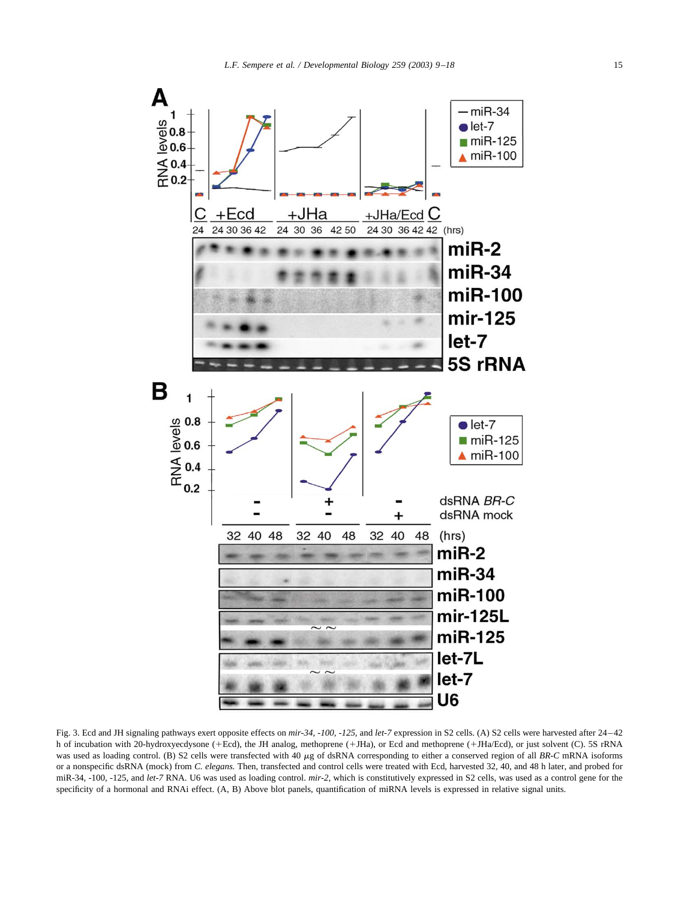<span id="page-6-0"></span>

Fig. 3. Ecd and JH signaling pathways exert opposite effects on *mir-34, -100, -125,* and *let-7* expression in S2 cells. (A) S2 cells were harvested after 24–42 h of incubation with 20-hydroxyecdysone (+Ecd), the JH analog, methoprene (+JHa), or Ecd and methoprene (+JHa/Ecd), or just solvent (C). 5S rRNA was used as loading control. (B) S2 cells were transfected with 40  $\mu$ g of dsRNA corresponding to either a conserved region of all *BR-C* mRNA isoforms or a nonspecific dsRNA (mock) from *C. elegans.* Then, transfected and control cells were treated with Ecd, harvested 32, 40, and 48 h later, and probed for miR-34, -100, -125, and *let-7* RNA. U6 was used as loading control. *mir-2,* which is constitutively expressed in S2 cells, was used as a control gene for the specificity of a hormonal and RNAi effect. (A, B) Above blot panels, quantification of miRNA levels is expressed in relative signal units.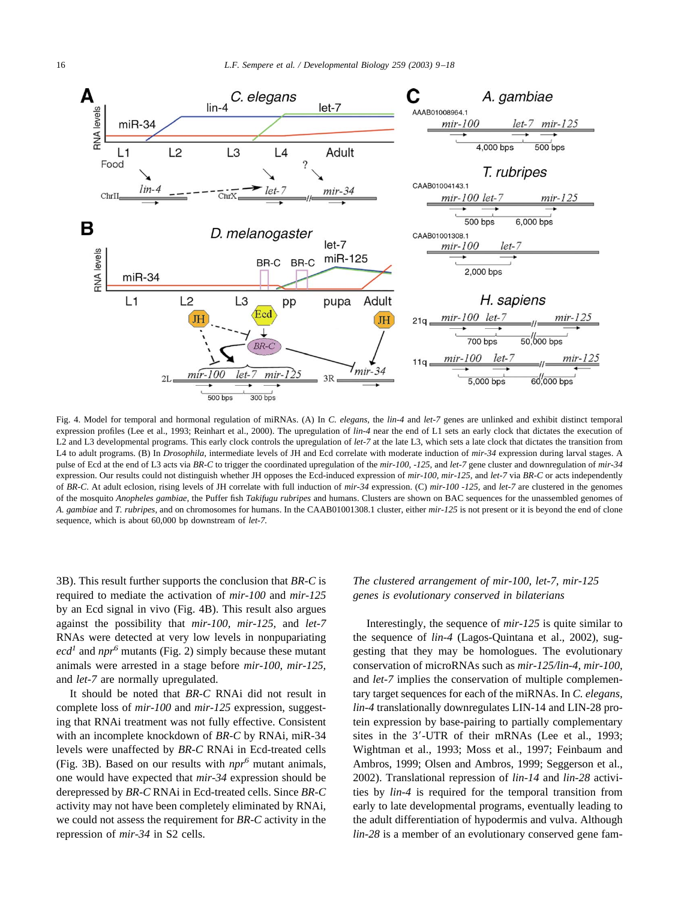<span id="page-7-0"></span>

Fig. 4. Model for temporal and hormonal regulation of miRNAs. (A) In *C. elegans,* the *lin-4* and *let-7* genes are unlinked and exhibit distinct temporal expression profiles [\(Lee et al., 1993; Reinhart et al., 2000\)](#page-8-0). The upregulation of *lin-4* near the end of L1 sets an early clock that dictates the execution of L2 and L3 developmental programs. This early clock controls the upregulation of *let-7* at the late L3, which sets a late clock that dictates the transition from L4 to adult programs. (B) In *Drosophila,* intermediate levels of JH and Ecd correlate with moderate induction of *mir-34* expression during larval stages. A pulse of Ecd at the end of L3 acts via *BR-C* to trigger the coordinated upregulation of the *mir-100, -125,* and *let-7* gene cluster and downregulation of *mir-34* expression. Our results could not distinguish whether JH opposes the Ecd-induced expression of *mir-100, mir-125,* and *let-7* via *BR-C* or acts independently of *BR-C*. At adult eclosion, rising levels of JH correlate with full induction of *mir-34* expression. (C) *mir-100 -125,* and *let-7* are clustered in the genomes of the mosquito *Anopheles gambiae,* the Puffer fish *Takifugu rubripes* and humans. Clusters are shown on BAC sequences for the unassembled genomes of *A. gambiae* and *T. rubripes,* and on chromosomes for humans. In the CAAB01001308.1 cluster, either *mir-125* is not present or it is beyond the end of clone sequence, which is about 60,000 bp downstream of *let-7.*

3B). This result further supports the conclusion that *BR-C* is required to mediate the activation of *mir-100* and *mir-125* by an Ecd signal in vivo (Fig. 4B). This result also argues against the possibility that *mir-100, mir-125,* and *let-7* RNAs were detected at very low levels in nonpupariating  $ecd<sup>1</sup>$  and *npr<sup>6</sup>* mutants ([Fig. 2](#page-3-0)) simply because these mutant animals were arrested in a stage before *mir-100, mir-125,* and *let-7* are normally upregulated.

It should be noted that *BR-C* RNAi did not result in complete loss of *mir-100* and *mir-125* expression, suggesting that RNAi treatment was not fully effective. Consistent with an incomplete knockdown of *BR-C* by RNAi, miR-34 levels were unaffected by *BR-C* RNAi in Ecd-treated cells [\(Fig. 3B\)](#page-6-0). Based on our results with *npr<sup>6</sup>* mutant animals, one would have expected that *mir-34* expression should be derepressed by *BR-C* RNAi in Ecd-treated cells. Since *BR-C* activity may not have been completely eliminated by RNAi, we could not assess the requirement for *BR-C* activity in the repression of *mir-34* in S2 cells.

## *The clustered arrangement of mir-100, let-7, mir-125 genes is evolutionary conserved in bilaterians*

Interestingly, the sequence of *mir-125* is quite similar to the sequence of *lin-4* [\(Lagos-Quintana et al., 2002\)](#page-8-0), suggesting that they may be homologues. The evolutionary conservation of microRNAs such as *mir-125/lin-4, mir-100,* and *let-7* implies the conservation of multiple complementary target sequences for each of the miRNAs. In *C. elegans, lin-4* translationally downregulates LIN-14 and LIN-28 protein expression by base-pairing to partially complementary sites in the 3'-UTR of their mRNAs [\(Lee et al., 1993;](#page-8-0) [Wightman et al., 1993; Moss et al., 1997; Feinbaum and](#page-8-0) [Ambros, 1999; Olsen and Ambros, 1999; Seggerson et al.,](#page-8-0) [2002\)](#page-8-0). Translational repression of *lin-14* and *lin-28* activities by *lin-4* is required for the temporal transition from early to late developmental programs, eventually leading to the adult differentiation of hypodermis and vulva. Although *lin-28* is a member of an evolutionary conserved gene fam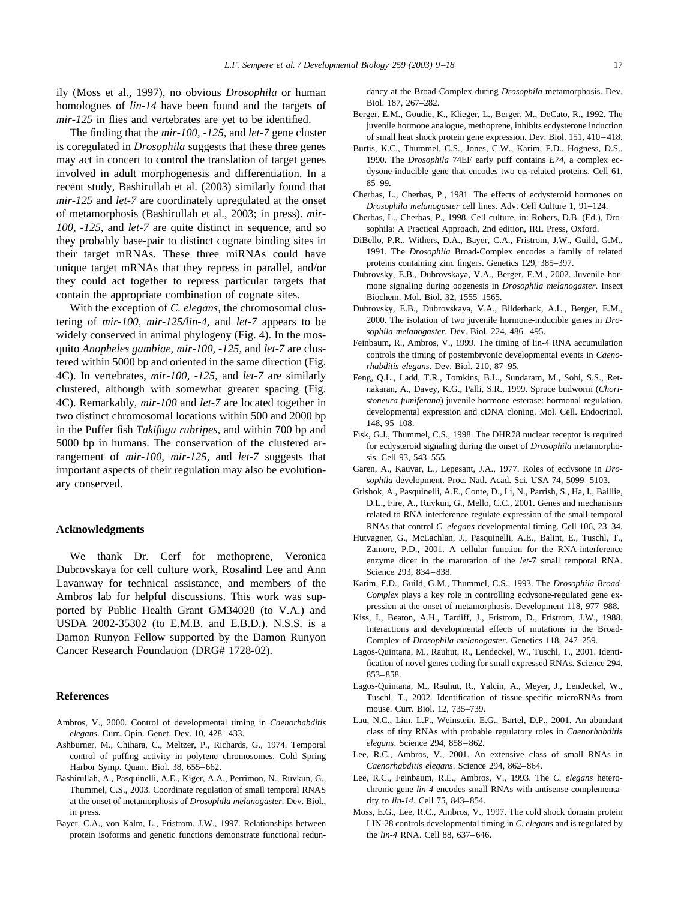<span id="page-8-0"></span>ily (Moss et al., 1997), no obvious *Drosophila* or human homologues of *lin-14* have been found and the targets of *mir-125* in flies and vertebrates are yet to be identified.

The finding that the *mir-100, -125,* and *let-7* gene cluster is coregulated in *Drosophila* suggests that these three genes may act in concert to control the translation of target genes involved in adult morphogenesis and differentiation. In a recent study, Bashirullah et al. (2003) similarly found that *mir-125* and *let-7* are coordinately upregulated at the onset of metamorphosis (Bashirullah et al., 2003; in press). *mir-100, -125,* and *let-7* are quite distinct in sequence, and so they probably base-pair to distinct cognate binding sites in their target mRNAs. These three miRNAs could have unique target mRNAs that they repress in parallel, and/or they could act together to repress particular targets that contain the appropriate combination of cognate sites.

With the exception of *C. elegans,* the chromosomal clustering of *mir-100, mir-125/lin-4,* and *let-7* appears to be widely conserved in animal phylogeny [\(Fig. 4\)](#page-7-0). In the mosquito *Anopheles gambiae, mir-100, -125,* and *let-7* are clustered within 5000 bp and oriented in the same direction [\(Fig.](#page-7-0) [4C\)](#page-7-0). In vertebrates, *mir-100, -125,* and *let-7* are similarly clustered, although with somewhat greater spacing [\(Fig.](#page-7-0) [4C\)](#page-7-0). Remarkably, *mir-100* and *let-7* are located together in two distinct chromosomal locations within 500 and 2000 bp in the Puffer fish *Takifugu rubripes,* and within 700 bp and 5000 bp in humans. The conservation of the clustered arrangement of *mir-100, mir-125,* and *let-7* suggests that important aspects of their regulation may also be evolutionary conserved.

### **Acknowledgments**

We thank Dr. Cerf for methoprene, Veronica Dubrovskaya for cell culture work, Rosalind Lee and Ann Lavanway for technical assistance, and members of the Ambros lab for helpful discussions. This work was supported by Public Health Grant GM34028 (to V.A.) and USDA 2002-35302 (to E.M.B. and E.B.D.). N.S.S. is a Damon Runyon Fellow supported by the Damon Runyon Cancer Research Foundation (DRG# 1728-02).

## **References**

- Ambros, V., 2000. Control of developmental timing in *Caenorhabditis elegans*. Curr. Opin. Genet. Dev. 10, 428–433.
- Ashburner, M., Chihara, C., Meltzer, P., Richards, G., 1974. Temporal control of puffing activity in polytene chromosomes. Cold Spring Harbor Symp. Quant. Biol. 38, 655–662.
- Bashirullah, A., Pasquinelli, A.E., Kiger, A.A., Perrimon, N., Ruvkun, G., Thummel, C.S., 2003. Coordinate regulation of small temporal RNAS at the onset of metamorphosis of *Drosophila melanogaster.* Dev. Biol., in press.
- Bayer, C.A., von Kalm, L., Fristrom, J.W., 1997. Relationships between protein isoforms and genetic functions demonstrate functional redun-

dancy at the Broad-Complex during *Drosophila* metamorphosis. Dev. Biol. 187, 267–282.

- Berger, E.M., Goudie, K., Klieger, L., Berger, M., DeCato, R., 1992. The juvenile hormone analogue, methoprene, inhibits ecdysterone induction of small heat shock protein gene expression. Dev. Biol. 151, 410–418.
- Burtis, K.C., Thummel, C.S., Jones, C.W., Karim, F.D., Hogness, D.S., 1990. The *Drosophila* 74EF early puff contains *E74*, a complex ecdysone-inducible gene that encodes two ets-related proteins. Cell 61, 85–99.
- Cherbas, L., Cherbas, P., 1981. The effects of ecdysteroid hormones on *Drosophila melanogaster* cell lines. Adv. Cell Culture 1, 91–124.
- Cherbas, L., Cherbas, P., 1998. Cell culture, in: Robers, D.B. (Ed.), Drosophila: A Practical Approach, 2nd edition, IRL Press, Oxford.
- DiBello, P.R., Withers, D.A., Bayer, C.A., Fristrom, J.W., Guild, G.M., 1991. The *Drosophila* Broad-Complex encodes a family of related proteins containing zinc fingers. Genetics 129, 385–397.
- Dubrovsky, E.B., Dubrovskaya, V.A., Berger, E.M., 2002. Juvenile hormone signaling during oogenesis in *Drosophila melanogaster*. Insect Biochem. Mol. Biol. 32, 1555–1565.
- Dubrovsky, E.B., Dubrovskaya, V.A., Bilderback, A.L., Berger, E.M., 2000. The isolation of two juvenile hormone-inducible genes in *Drosophila melanogaster*. Dev. Biol. 224, 486–495.
- Feinbaum, R., Ambros, V., 1999. The timing of lin-4 RNA accumulation controls the timing of postembryonic developmental events in *Caenorhabditis elegans*. Dev. Biol. 210, 87–95.
- Feng, Q.L., Ladd, T.R., Tomkins, B.L., Sundaram, M., Sohi, S.S., Retnakaran, A., Davey, K.G., Palli, S.R., 1999. Spruce budworm (*Choristoneura fumiferana*) juvenile hormone esterase: hormonal regulation, developmental expression and cDNA cloning. Mol. Cell. Endocrinol. 148, 95–108.
- Fisk, G.J., Thummel, C.S., 1998. The DHR78 nuclear receptor is required for ecdysteroid signaling during the onset of *Drosophila* metamorphosis. Cell 93, 543–555.
- Garen, A., Kauvar, L., Lepesant, J.A., 1977. Roles of ecdysone in *Drosophila* development. Proc. Natl. Acad. Sci. USA 74, 5099–5103.
- Grishok, A., Pasquinelli, A.E., Conte, D., Li, N., Parrish, S., Ha, I., Baillie, D.L., Fire, A., Ruvkun, G., Mello, C.C., 2001. Genes and mechanisms related to RNA interference regulate expression of the small temporal RNAs that control *C. elegans* developmental timing. Cell 106, 23–34.
- Hutvagner, G., McLachlan, J., Pasquinelli, A.E., Balint, E., Tuschl, T., Zamore, P.D., 2001. A cellular function for the RNA-interference enzyme dicer in the maturation of the *let*-7 small temporal RNA. Science 293, 834–838.
- Karim, F.D., Guild, G.M., Thummel, C.S., 1993. The *Drosophila Broad-Complex* plays a key role in controlling ecdysone-regulated gene expression at the onset of metamorphosis. Development 118, 977–988.
- Kiss, I., Beaton, A.H., Tardiff, J., Fristrom, D., Fristrom, J.W., 1988. Interactions and developmental effects of mutations in the Broad-Complex of *Drosophila melanogaster*. Genetics 118, 247–259.
- Lagos-Quintana, M., Rauhut, R., Lendeckel, W., Tuschl, T., 2001. Identification of novel genes coding for small expressed RNAs. Science 294, 853–858.
- Lagos-Quintana, M., Rauhut, R., Yalcin, A., Meyer, J., Lendeckel, W., Tuschl, T., 2002. Identification of tissue-specific microRNAs from mouse. Curr. Biol. 12, 735–739.
- Lau, N.C., Lim, L.P., Weinstein, E.G., Bartel, D.P., 2001. An abundant class of tiny RNAs with probable regulatory roles in *Caenorhabditis elegans*. Science 294, 858–862.
- Lee, R.C., Ambros, V., 2001. An extensive class of small RNAs in *Caenorhabditis elegans*. Science 294, 862–864.
- Lee, R.C., Feinbaum, R.L., Ambros, V., 1993. The *C. elegans* heterochronic gene *lin-4* encodes small RNAs with antisense complementarity to *lin-14*. Cell 75, 843–854.
- Moss, E.G., Lee, R.C., Ambros, V., 1997. The cold shock domain protein LIN-28 controls developmental timing in *C. elegans* and is regulated by the *lin-4* RNA. Cell 88, 637–646.